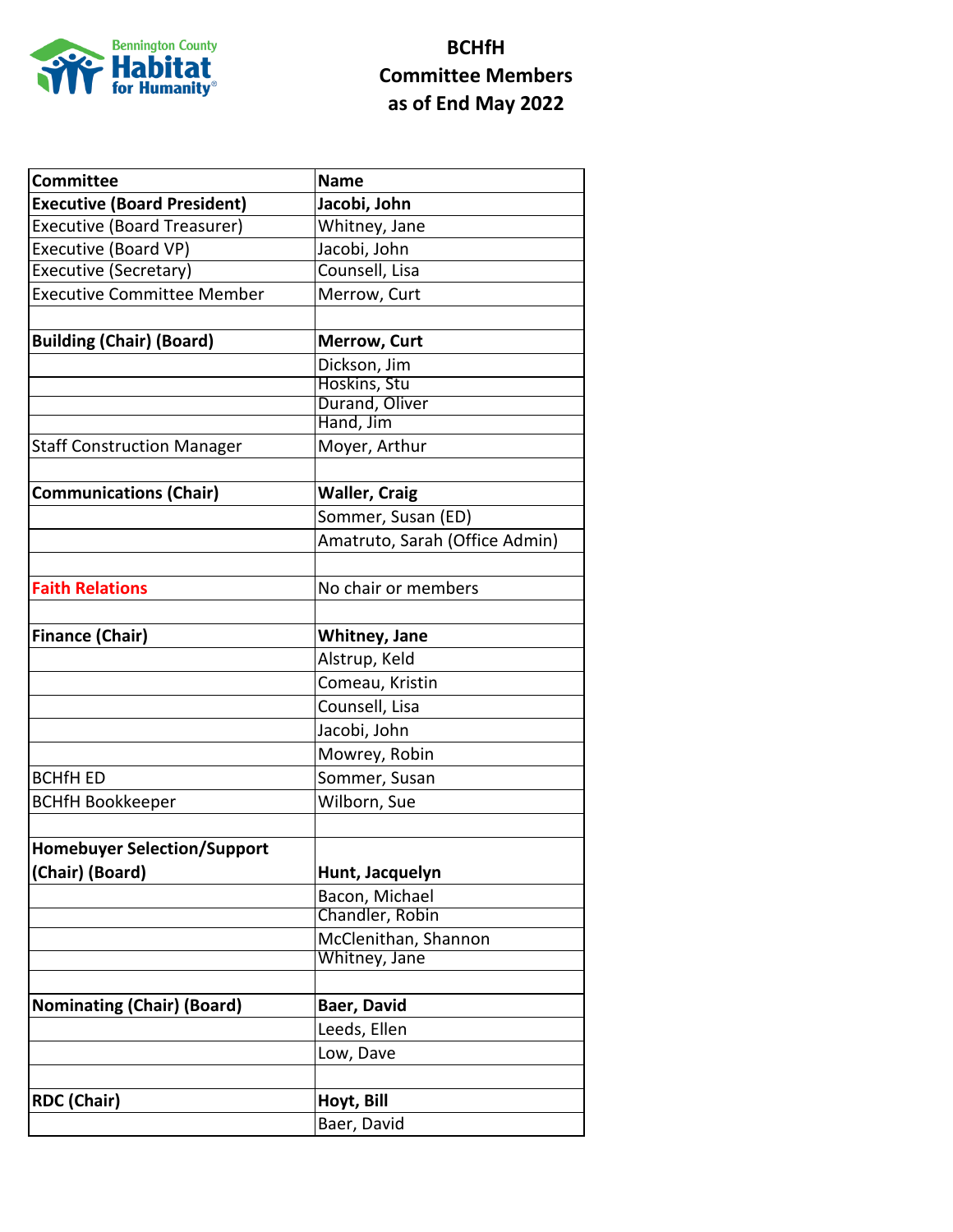

## **BCHfH Committee Members as of End May 2022**

| <b>Committee</b>                   | <b>Name</b>                    |
|------------------------------------|--------------------------------|
| <b>Executive (Board President)</b> | Jacobi, John                   |
| <b>Executive (Board Treasurer)</b> | Whitney, Jane                  |
| <b>Executive (Board VP)</b>        | Jacobi, John                   |
| <b>Executive (Secretary)</b>       | Counsell, Lisa                 |
| <b>Executive Committee Member</b>  | Merrow, Curt                   |
|                                    |                                |
| <b>Building (Chair) (Board)</b>    | <b>Merrow, Curt</b>            |
|                                    | Dickson, Jim                   |
|                                    | Hoskins, Stu                   |
|                                    | Durand, Oliver                 |
|                                    | Hand, Jim                      |
| <b>Staff Construction Manager</b>  | Moyer, Arthur                  |
|                                    |                                |
| <b>Communications (Chair)</b>      | <b>Waller, Craig</b>           |
|                                    | Sommer, Susan (ED)             |
|                                    | Amatruto, Sarah (Office Admin) |
|                                    |                                |
| <b>Faith Relations</b>             | No chair or members            |
|                                    |                                |
| <b>Finance (Chair)</b>             | Whitney, Jane                  |
|                                    | Alstrup, Keld                  |
|                                    | Comeau, Kristin                |
|                                    | Counsell, Lisa                 |
|                                    | Jacobi, John                   |
|                                    | Mowrey, Robin                  |
| <b>BCHfH ED</b>                    | Sommer, Susan                  |
| <b>BCHfH Bookkeeper</b>            | Wilborn, Sue                   |
|                                    |                                |
| <b>Homebuyer Selection/Support</b> |                                |
| (Chair) (Board)                    | Hunt, Jacquelyn                |
|                                    | Bacon, Michael                 |
|                                    | Chandler, Robin                |
|                                    | McClenithan, Shannon           |
|                                    | Whitney, Jane                  |
|                                    |                                |
| <b>Nominating (Chair) (Board)</b>  | Baer, David                    |
|                                    | Leeds, Ellen                   |
|                                    | Low, Dave                      |
|                                    |                                |
| <b>RDC (Chair)</b>                 | Hoyt, Bill                     |
|                                    | Baer, David                    |